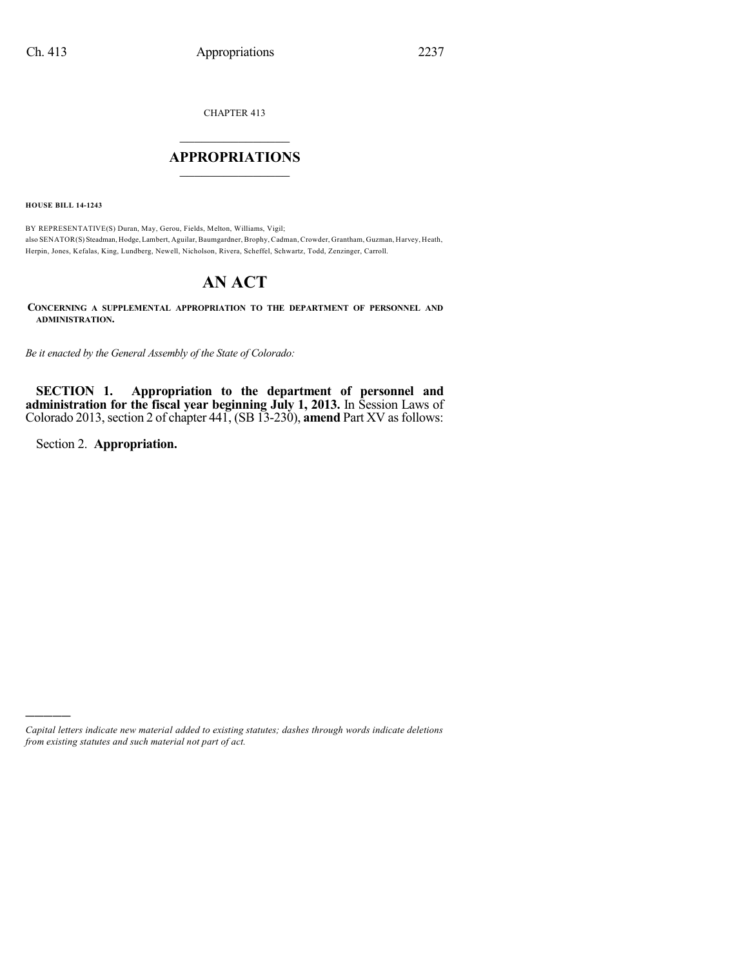CHAPTER 413

# $\mathcal{L}_\text{max}$  . The set of the set of the set of the set of the set of the set of the set of the set of the set of the set of the set of the set of the set of the set of the set of the set of the set of the set of the set **APPROPRIATIONS**  $\_$   $\_$   $\_$   $\_$   $\_$   $\_$   $\_$   $\_$

**HOUSE BILL 14-1243**

BY REPRESENTATIVE(S) Duran, May, Gerou, Fields, Melton, Williams, Vigil; also SENATOR(S) Steadman, Hodge, Lambert, Aguilar, Baumgardner, Brophy, Cadman, Crowder, Grantham, Guzman, Harvey, Heath, Herpin, Jones, Kefalas, King, Lundberg, Newell, Nicholson, Rivera, Scheffel, Schwartz, Todd, Zenzinger, Carroll.

# **AN ACT**

**CONCERNING A SUPPLEMENTAL APPROPRIATION TO THE DEPARTMENT OF PERSONNEL AND ADMINISTRATION.**

*Be it enacted by the General Assembly of the State of Colorado:*

**SECTION 1. Appropriation to the department of personnel and administration for the fiscal year beginning July 1, 2013.** In Session Laws of Colorado 2013, section 2 of chapter 441, (SB 13-230), **amend** Part XV as follows:

Section 2. **Appropriation.**

)))))

*Capital letters indicate new material added to existing statutes; dashes through words indicate deletions from existing statutes and such material not part of act.*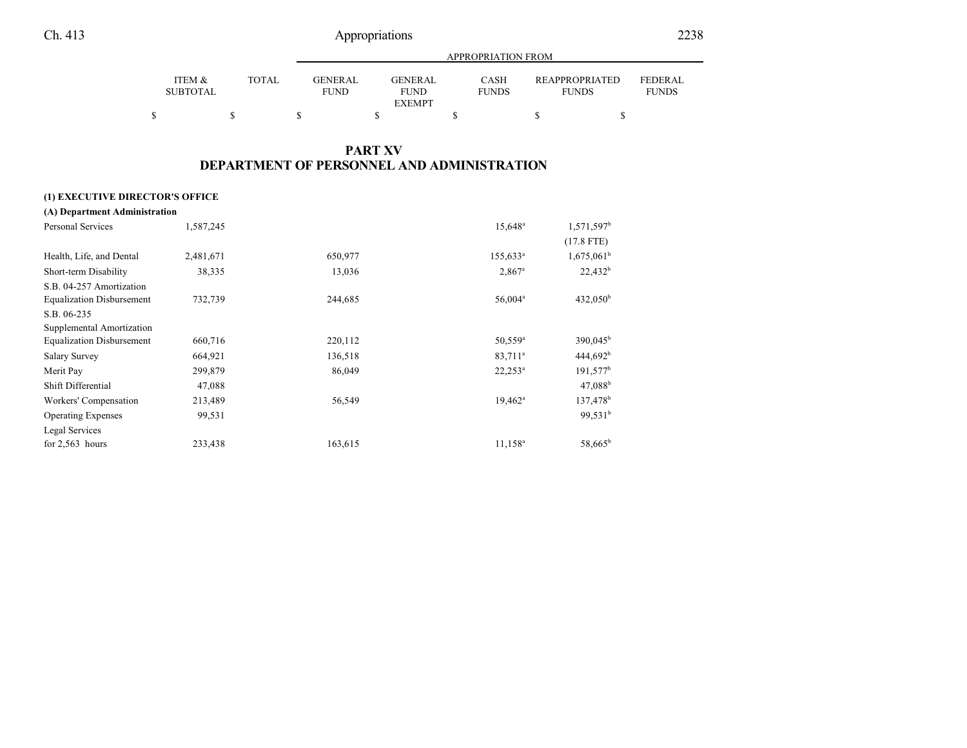|                           |       |                               | APPROPRIATION FROM                      |                      |                                |                                |  |
|---------------------------|-------|-------------------------------|-----------------------------------------|----------------------|--------------------------------|--------------------------------|--|
| ITEM &<br><b>SUBTOTAL</b> | TOTAL | <b>GENERAL</b><br><b>FUND</b> | GENERAL<br><b>FUND</b><br><b>EXEMPT</b> | CASH<br><b>FUNDS</b> | REAPPROPRIATED<br><b>FUNDS</b> | <b>FEDERAL</b><br><b>FUNDS</b> |  |
|                           |       |                               |                                         |                      |                                |                                |  |

# **PART XV DEPARTMENT OF PERSONNEL AND ADMINISTRATION**

### **(1) EXECUTIVE DIRECTOR'S OFFICE**

| (A) Department Administration    |           |         |                      |                        |
|----------------------------------|-----------|---------|----------------------|------------------------|
| <b>Personal Services</b>         | 1,587,245 |         | 15,648 <sup>a</sup>  | 1,571,597 <sup>b</sup> |
|                                  |           |         |                      | $(17.8$ FTE)           |
| Health, Life, and Dental         | 2,481,671 | 650,977 | $155,633^a$          | $1,675,061^b$          |
| Short-term Disability            | 38,335    | 13,036  | $2,867$ <sup>a</sup> | $22,432^b$             |
| S.B. 04-257 Amortization         |           |         |                      |                        |
| <b>Equalization Disbursement</b> | 732,739   | 244,685 | 56,004 <sup>a</sup>  | $432,050^{\rm b}$      |
| S.B. 06-235                      |           |         |                      |                        |
| Supplemental Amortization        |           |         |                      |                        |
| <b>Equalization Disbursement</b> | 660,716   | 220,112 | $50,559^{\circ}$     | $390,045^{\circ}$      |
| <b>Salary Survey</b>             | 664,921   | 136,518 | 83,711 <sup>a</sup>  | 444,692 <sup>b</sup>   |
| Merit Pay                        | 299,879   | 86,049  | $22,253^a$           | $191,577$ <sup>b</sup> |
| Shift Differential               | 47,088    |         |                      | 47.088 <sup>b</sup>    |
| Workers' Compensation            | 213,489   | 56,549  | $19,462^a$           | 137,478 <sup>b</sup>   |
| <b>Operating Expenses</b>        | 99,531    |         |                      | 99.531 <sup>b</sup>    |
| Legal Services                   |           |         |                      |                        |
| for $2,563$ hours                | 233,438   | 163,615 | 11,158 <sup>a</sup>  | 58,665 <sup>b</sup>    |
|                                  |           |         |                      |                        |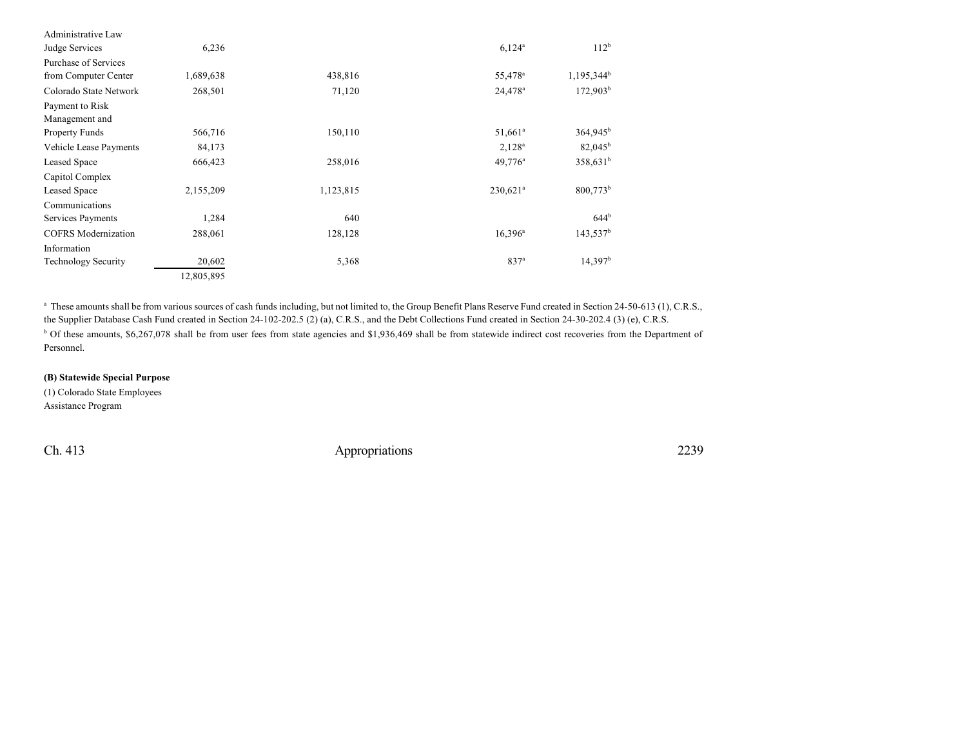| Administrative Law         |            |           |                        |                        |
|----------------------------|------------|-----------|------------------------|------------------------|
| Judge Services             | 6,236      |           | $6,124^{\circ}$        | 112 <sup>b</sup>       |
| Purchase of Services       |            |           |                        |                        |
| from Computer Center       | 1,689,638  | 438,816   | 55,478 <sup>a</sup>    | 1,195,344 <sup>b</sup> |
| Colorado State Network     | 268,501    | 71,120    | $24,478^{\circ}$       | $172,903^{\rm b}$      |
| Payment to Risk            |            |           |                        |                        |
| Management and             |            |           |                        |                        |
| <b>Property Funds</b>      | 566,716    | 150,110   | 51,661 <sup>a</sup>    | 364,945 <sup>b</sup>   |
| Vehicle Lease Payments     | 84,173     |           | $2,128^a$              | $82,045^{\rm b}$       |
| <b>Leased Space</b>        | 666,423    | 258,016   | 49,776 <sup>a</sup>    | 358,631 <sup>b</sup>   |
| Capitol Complex            |            |           |                        |                        |
| Leased Space               | 2,155,209  | 1,123,815 | $230,621$ <sup>a</sup> | 800,773 <sup>b</sup>   |
| Communications             |            |           |                        |                        |
| Services Payments          | 1,284      | 640       |                        | 644 <sup>b</sup>       |
| <b>COFRS</b> Modernization | 288,061    | 128,128   | $16,396^a$             | $143,537^b$            |
| Information                |            |           |                        |                        |
| <b>Technology Security</b> | 20,602     | 5,368     | 837 <sup>a</sup>       | 14,397 <sup>b</sup>    |
|                            | 12,805,895 |           |                        |                        |

<sup>a</sup> These amounts shall be from various sources of cash funds including, but not limited to, the Group Benefit Plans Reserve Fund created in Section 24-50-613 (1), C.R.S., the Supplier Database Cash Fund created in Section 24-102-202.5 (2) (a), C.R.S., and the Debt Collections Fund created in Section 24-30-202.4 (3) (e), C.R.S.

<sup>b</sup> Of these amounts, \$6,267,078 shall be from user fees from state agencies and \$1,936,469 shall be from statewide indirect cost recoveries from the Department of Personnel.

## **(B) Statewide Special Purpose**

(1) Colorado State Employees Assistance Program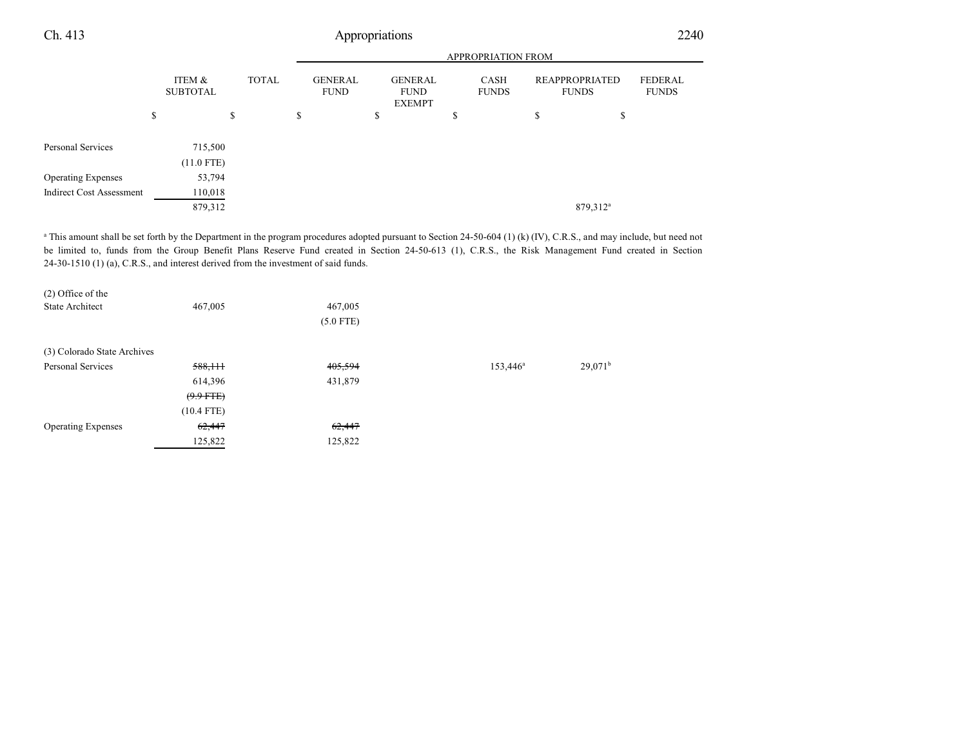|                                 |                           |              | <b>APPROPRIATION FROM</b>     |    |                                                |    |                      |                                |                                |
|---------------------------------|---------------------------|--------------|-------------------------------|----|------------------------------------------------|----|----------------------|--------------------------------|--------------------------------|
|                                 | ITEM &<br><b>SUBTOTAL</b> | <b>TOTAL</b> | <b>GENERAL</b><br><b>FUND</b> |    | <b>GENERAL</b><br><b>FUND</b><br><b>EXEMPT</b> |    | CASH<br><b>FUNDS</b> | REAPPROPRIATED<br><b>FUNDS</b> | <b>FEDERAL</b><br><b>FUNDS</b> |
|                                 | \$                        | \$           | \$                            | \$ |                                                | \$ |                      | \$<br>\$                       |                                |
| Personal Services               | 715,500                   |              |                               |    |                                                |    |                      |                                |                                |
|                                 | $(11.0$ FTE)              |              |                               |    |                                                |    |                      |                                |                                |
| <b>Operating Expenses</b>       | 53,794                    |              |                               |    |                                                |    |                      |                                |                                |
| <b>Indirect Cost Assessment</b> | 110,018                   |              |                               |    |                                                |    |                      |                                |                                |
|                                 | 879,312                   |              |                               |    |                                                |    |                      | 879,312 <sup>a</sup>           |                                |

<sup>a</sup> This amount shall be set forth by the Department in the program procedures adopted pursuant to Section 24-50-604 (1) (k) (IV), C.R.S., and may include, but need not be limited to, funds from the Group Benefit Plans Reserve Fund created in Section 24-50-613 (1), C.R.S., the Risk Management Fund created in Section 24-30-1510 (1) (a), C.R.S., and interest derived from the investment of said funds.

| $(2)$ Office of the         |              |             |                   |                  |
|-----------------------------|--------------|-------------|-------------------|------------------|
| <b>State Architect</b>      | 467,005      | 467,005     |                   |                  |
|                             |              | $(5.0$ FTE) |                   |                  |
| (3) Colorado State Archives |              |             |                   |                  |
| Personal Services           | 588,111      | 405,594     | $153,446^{\circ}$ | $29,071^{\rm b}$ |
|                             | 614,396      | 431,879     |                   |                  |
|                             | $(9.9$ FTE)  |             |                   |                  |
|                             | $(10.4$ FTE) |             |                   |                  |
| <b>Operating Expenses</b>   | 62,447       | 62,447      |                   |                  |
|                             | 125,822      | 125,822     |                   |                  |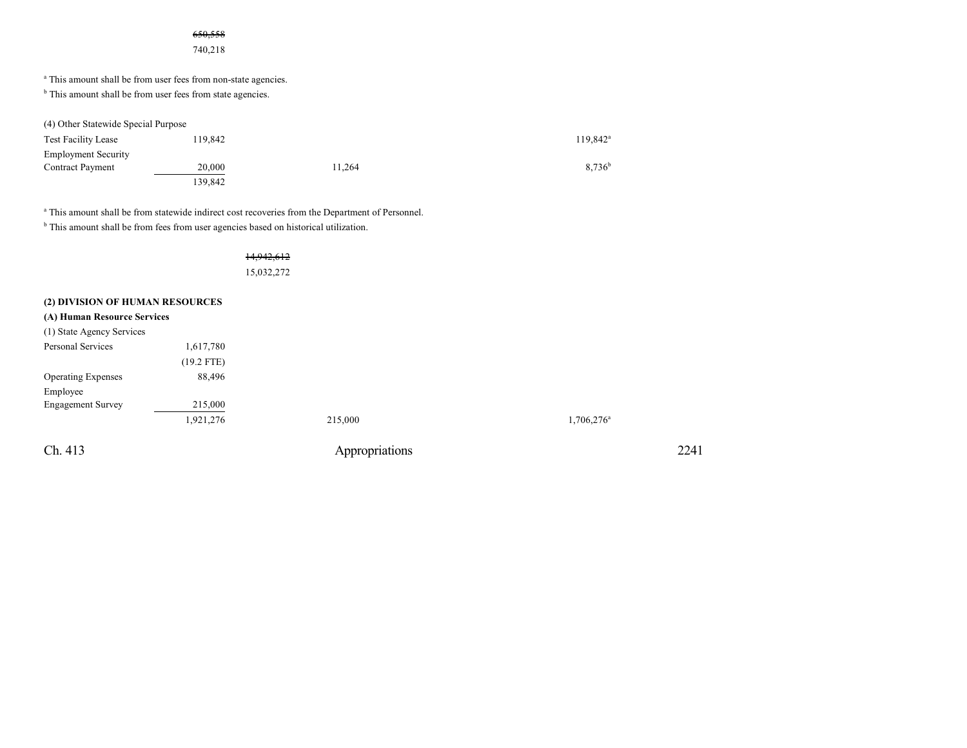### 650,558

740,218

<sup>a</sup> This amount shall be from user fees from non-state agencies.

<sup>b</sup> This amount shall be from user fees from state agencies.

(4) Other Statewide Special Purpose

| <b>Test Facility Lease</b> | 119.842 |        | $119.842^a$ |
|----------------------------|---------|--------|-------------|
| <b>Employment Security</b> |         |        |             |
| <b>Contract Payment</b>    | 20,000  | 11.264 | $8.736^b$   |
|                            | 139.842 |        |             |

<sup>a</sup> This amount shall be from statewide indirect cost recoveries from the Department of Personnel.

<sup>b</sup> This amount shall be from fees from user agencies based on historical utilization.

14,942,612 15,032,272

### **(2) DIVISION OF HUMAN RESOURCES**

### **(A) Human Resource Services**

| $(11)$ Human Resource Services |              |                |                        |
|--------------------------------|--------------|----------------|------------------------|
| (1) State Agency Services      |              |                |                        |
| Personal Services              | 1,617,780    |                |                        |
|                                | $(19.2$ FTE) |                |                        |
| <b>Operating Expenses</b>      | 88,496       |                |                        |
| Employee                       |              |                |                        |
| <b>Engagement Survey</b>       | 215,000      |                |                        |
|                                | 1,921,276    | 215,000        | 1,706,276 <sup>a</sup> |
| Ch. 413                        |              | Appropriations | 2241                   |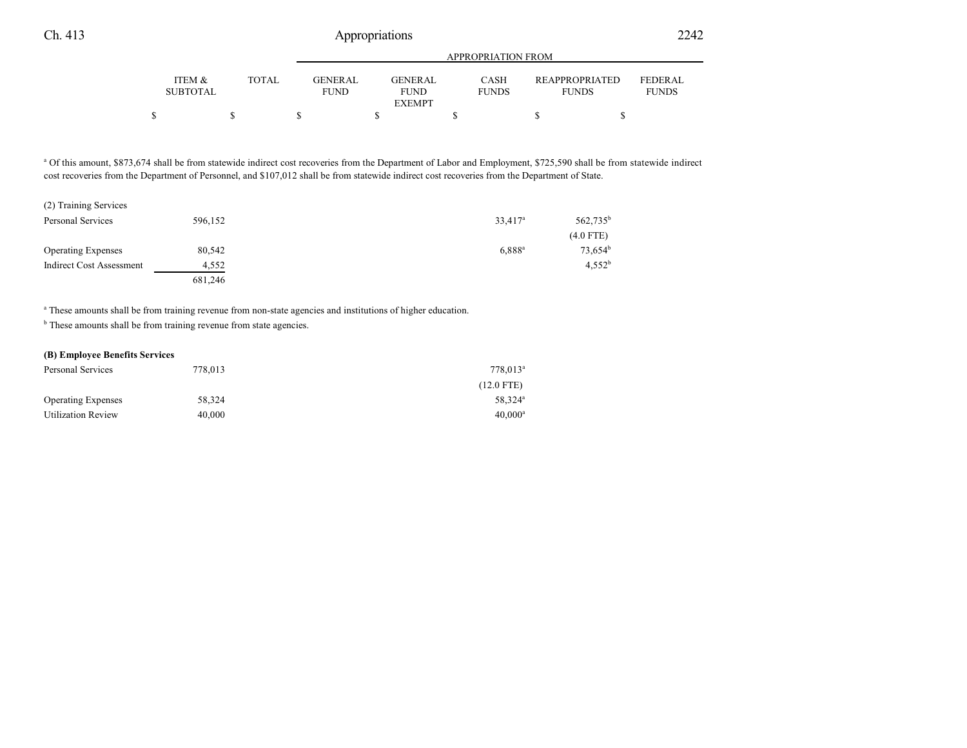|                                      |              | APPROPRIATION FROM      |                               |                      |                                       |                                |
|--------------------------------------|--------------|-------------------------|-------------------------------|----------------------|---------------------------------------|--------------------------------|
| <b>ITEM &amp;</b><br><b>SUBTOTAL</b> | <b>TOTAL</b> | GENER AL<br><b>FUND</b> | <b>GENERAL</b><br><b>FUND</b> | CASH<br><b>FUNDS</b> | <b>REAPPROPRIATED</b><br><b>FUNDS</b> | <b>FEDERAL</b><br><b>FUNDS</b> |
|                                      |              |                         | <b>EXEMPT</b>                 |                      |                                       |                                |
|                                      |              |                         |                               |                      |                                       |                                |

a Of this amount, \$873,674 shall be from statewide indirect cost recoveries from the Department of Labor and Employment, \$725,590 shall be from statewide indirect cost recoveries from the Department of Personnel, and \$107,012 shall be from statewide indirect cost recoveries from the Department of State.

| (2) Training Services     |         |                     |                      |
|---------------------------|---------|---------------------|----------------------|
| Personal Services         | 596,152 | 33,417 <sup>a</sup> | 562,735 <sup>b</sup> |
|                           |         |                     | $(4.0$ FTE)          |
| <b>Operating Expenses</b> | 80,542  | $6,888^{\rm a}$     | $73,654^b$           |
| Indirect Cost Assessment  | 4.552   |                     | $4.552^{b}$          |
|                           | 681,246 |                     |                      |

a These amounts shall be from training revenue from non-state agencies and institutions of higher education.

<sup>b</sup> These amounts shall be from training revenue from state agencies.

#### **(B) Employee Benefits Services**

| Personal Services         | 778,013 | $778.013^{\circ}$   |
|---------------------------|---------|---------------------|
|                           |         | $(12.0$ FTE)        |
| <b>Operating Expenses</b> | 58.324  | 58.324 <sup>a</sup> |
| <b>Utilization Review</b> | 40,000  | $40.000^{\rm a}$    |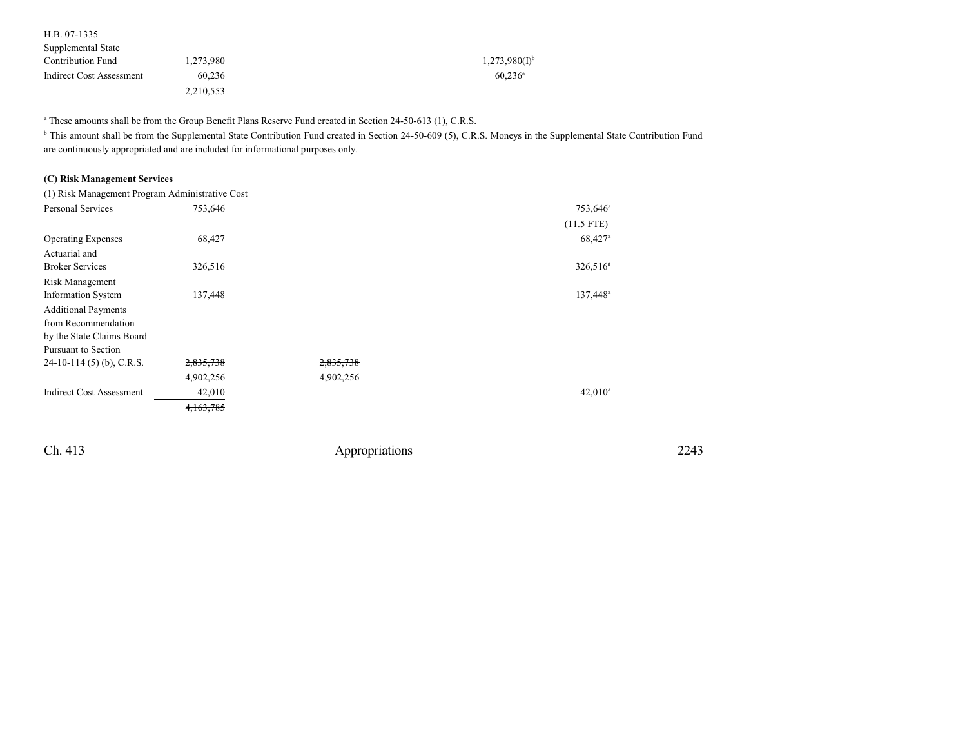| H.B. 07-1335             |           |                             |
|--------------------------|-----------|-----------------------------|
| Supplemental State       |           |                             |
| <b>Contribution Fund</b> | 1.273.980 | $1,273,980(1)$ <sup>b</sup> |
| Indirect Cost Assessment | 60.236    | $60.236^{\rm a}$            |
|                          | 2.210.553 |                             |

a These amounts shall be from the Group Benefit Plans Reserve Fund created in Section 24-50-613 (1), C.R.S.

<sup>b</sup> This amount shall be from the Supplemental State Contribution Fund created in Section 24-50-609 (5), C.R.S. Moneys in the Supplemental State Contribution Fund are continuously appropriated and are included for informational purposes only.

### **(C) Risk Management Services**

| (1) Risk Management Program Administrative Cost |           |           |                      |
|-------------------------------------------------|-----------|-----------|----------------------|
| <b>Personal Services</b>                        | 753,646   |           | 753,646 <sup>a</sup> |
|                                                 |           |           | $(11.5$ FTE)         |
| <b>Operating Expenses</b>                       | 68,427    |           | 68,427 <sup>a</sup>  |
| Actuarial and                                   |           |           |                      |
| <b>Broker Services</b>                          | 326,516   |           | $326,516^a$          |
| Risk Management                                 |           |           |                      |
| <b>Information System</b>                       | 137,448   |           | 137,448 <sup>a</sup> |
| <b>Additional Payments</b>                      |           |           |                      |
| from Recommendation                             |           |           |                      |
| by the State Claims Board                       |           |           |                      |
| Pursuant to Section                             |           |           |                      |
| $24-10-114(5)$ (b), C.R.S.                      | 2,835,738 | 2,835,738 |                      |
|                                                 | 4,902,256 | 4,902,256 |                      |
| <b>Indirect Cost Assessment</b>                 | 42,010    |           | $42,010^a$           |
|                                                 | 4,163,785 |           |                      |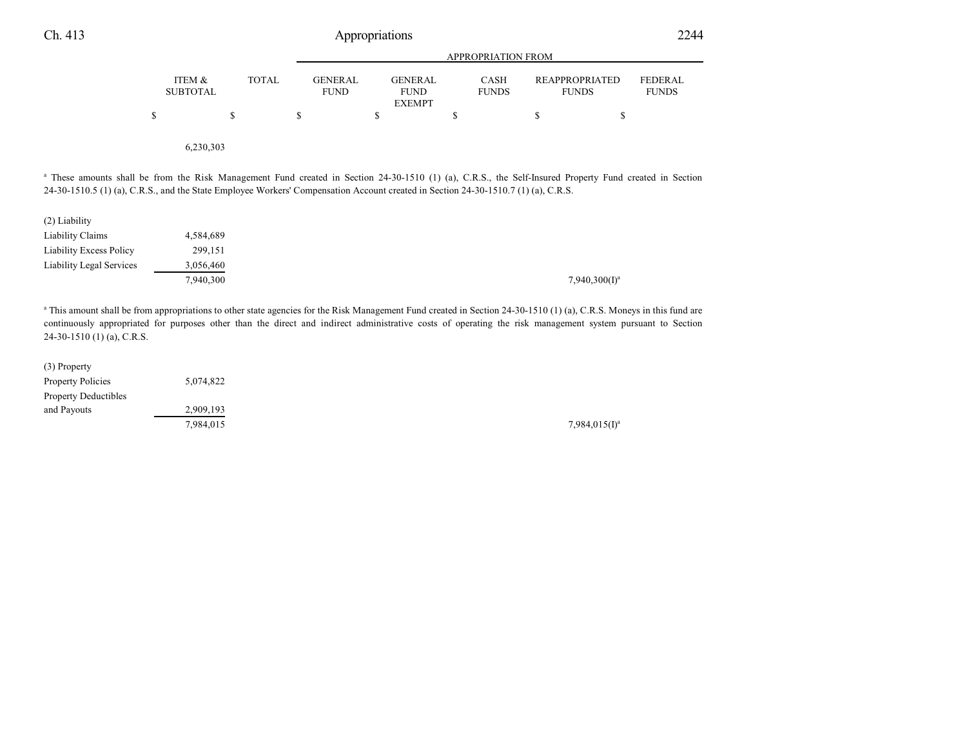|                                 |                                                                                                                                    |              | <b>APPROPRIATION FROM</b>     |                                                |                             |                                                                                                                                                                                                                                                                                                                                                |                         |  |  |  |
|---------------------------------|------------------------------------------------------------------------------------------------------------------------------------|--------------|-------------------------------|------------------------------------------------|-----------------------------|------------------------------------------------------------------------------------------------------------------------------------------------------------------------------------------------------------------------------------------------------------------------------------------------------------------------------------------------|-------------------------|--|--|--|
|                                 | ITEM &<br><b>SUBTOTAL</b>                                                                                                          | <b>TOTAL</b> | <b>GENERAL</b><br><b>FUND</b> | <b>GENERAL</b><br><b>FUND</b><br><b>EXEMPT</b> | <b>CASH</b><br><b>FUNDS</b> | <b>REAPPROPRIATED</b><br><b>FUNDS</b>                                                                                                                                                                                                                                                                                                          | FEDERAL<br><b>FUNDS</b> |  |  |  |
|                                 | \$                                                                                                                                 | \$           | \$                            | \$                                             | \$                          | \$<br>\$                                                                                                                                                                                                                                                                                                                                       |                         |  |  |  |
|                                 | 6,230,303                                                                                                                          |              |                               |                                                |                             |                                                                                                                                                                                                                                                                                                                                                |                         |  |  |  |
|                                 | 24-30-1510.5 (1) (a), C.R.S., and the State Employee Workers' Compensation Account created in Section 24-30-1510.7 (1) (a), C.R.S. |              |                               |                                                |                             | <sup>a</sup> These amounts shall be from the Risk Management Fund created in Section 24-30-1510 (1) (a), C.R.S., the Self-Insured Property Fund created in Section                                                                                                                                                                             |                         |  |  |  |
| (2) Liability                   |                                                                                                                                    |              |                               |                                                |                             |                                                                                                                                                                                                                                                                                                                                                |                         |  |  |  |
| Liability Claims                | 4,584,689                                                                                                                          |              |                               |                                                |                             |                                                                                                                                                                                                                                                                                                                                                |                         |  |  |  |
| <b>Liability Excess Policy</b>  | 299,151                                                                                                                            |              |                               |                                                |                             |                                                                                                                                                                                                                                                                                                                                                |                         |  |  |  |
| <b>Liability Legal Services</b> | 3,056,460<br>7,940,300                                                                                                             |              |                               |                                                |                             | $7,940,300(1)^a$                                                                                                                                                                                                                                                                                                                               |                         |  |  |  |
|                                 |                                                                                                                                    |              |                               |                                                |                             |                                                                                                                                                                                                                                                                                                                                                |                         |  |  |  |
| $24-30-1510$ (1) (a), C.R.S.    |                                                                                                                                    |              |                               |                                                |                             | <sup>a</sup> This amount shall be from appropriations to other state agencies for the Risk Management Fund created in Section 24-30-1510 (1) (a), C.R.S. Moneys in this fund are<br>continuously appropriated for purposes other than the direct and indirect administrative costs of operating the risk management system pursuant to Section |                         |  |  |  |

| (3) Property                |           |                  |
|-----------------------------|-----------|------------------|
| <b>Property Policies</b>    | 5,074,822 |                  |
| <b>Property Deductibles</b> |           |                  |
| and Payouts                 | 2,909,193 |                  |
|                             | 7,984,015 | $7,984,015(I)^3$ |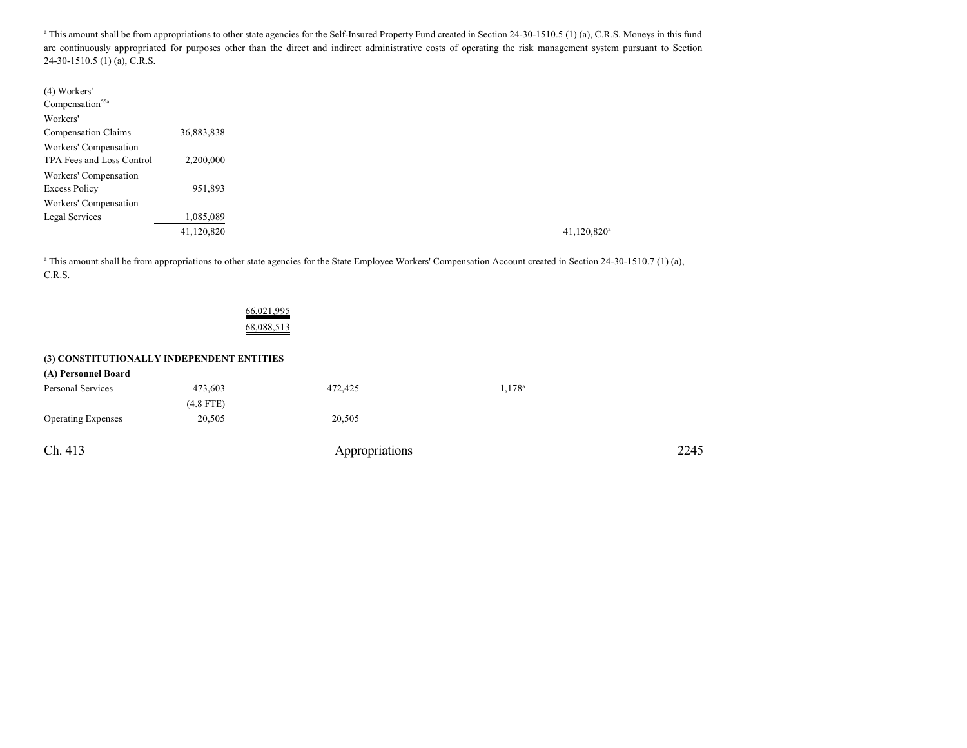<sup>a</sup> This amount shall be from appropriations to other state agencies for the Self-Insured Property Fund created in Section 24-30-1510.5 (1) (a), C.R.S. Moneys in this fund are continuously appropriated for purposes other than the direct and indirect administrative costs of operating the risk management system pursuant to Section 24-30-1510.5 (1) (a), C.R.S.

| (4) Workers'                |            |
|-----------------------------|------------|
| Compensation <sup>55a</sup> |            |
| Workers'                    |            |
| Compensation Claims         | 36,883,838 |
| Workers' Compensation       |            |
| TPA Fees and Loss Control   | 2,200,000  |
| Workers' Compensation       |            |
| <b>Excess Policy</b>        | 951,893    |
| Workers' Compensation       |            |
| Legal Services              | 1,085,089  |
|                             | 41,120,820 |

<sup>a</sup> This amount shall be from appropriations to other state agencies for the State Employee Workers' Compensation Account created in Section 24-30-1510.7 (1) (a), C.R.S.

| 12 I.S<br>c.<br>$\overline{\phantom{a}}$ |
|------------------------------------------|
|                                          |
| 58.088.5.                                |

#### **(3) CONSTITUTIONALLY INDEPENDENT ENTITIES**

| (A) Personnel Board       |             |                |                    |      |
|---------------------------|-------------|----------------|--------------------|------|
| Personal Services         | 473,603     | 472,425        | 1,178 <sup>a</sup> |      |
|                           | $(4.8$ FTE) |                |                    |      |
| <b>Operating Expenses</b> | 20,505      | 20,505         |                    |      |
| Ch. 413                   |             | Appropriations |                    | 2245 |
|                           |             |                |                    |      |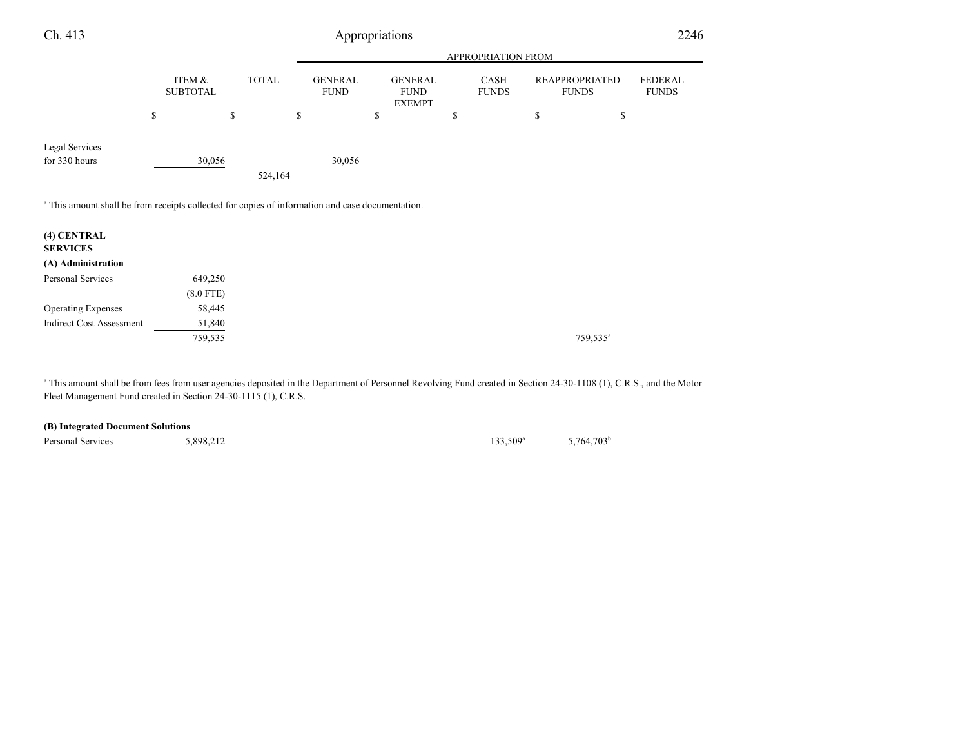| Ch. 413                                                                                                     |                           |         |              | Appropriations                |                                                |                      |                                       | 2246                           |
|-------------------------------------------------------------------------------------------------------------|---------------------------|---------|--------------|-------------------------------|------------------------------------------------|----------------------|---------------------------------------|--------------------------------|
|                                                                                                             |                           |         |              |                               |                                                | APPROPRIATION FROM   |                                       |                                |
|                                                                                                             | ITEM &<br><b>SUBTOTAL</b> |         | <b>TOTAL</b> | <b>GENERAL</b><br><b>FUND</b> | <b>GENERAL</b><br><b>FUND</b><br><b>EXEMPT</b> | CASH<br><b>FUNDS</b> | <b>REAPPROPRIATED</b><br><b>FUNDS</b> | <b>FEDERAL</b><br><b>FUNDS</b> |
|                                                                                                             | \$                        | \$      | \$           |                               | \$                                             | \$                   | \$<br>\$                              |                                |
| Legal Services<br>for 330 hours                                                                             |                           | 30,056  | 524,164      | 30,056                        |                                                |                      |                                       |                                |
| <sup>a</sup> This amount shall be from receipts collected for copies of information and case documentation. |                           |         |              |                               |                                                |                      |                                       |                                |
| (4) CENTRAL<br><b>SERVICES</b>                                                                              |                           |         |              |                               |                                                |                      |                                       |                                |
| (A) Administration                                                                                          |                           |         |              |                               |                                                |                      |                                       |                                |
| Personal Services                                                                                           |                           | 649,250 |              |                               |                                                |                      |                                       |                                |
|                                                                                                             | $(8.0$ FTE)               |         |              |                               |                                                |                      |                                       |                                |
| <b>Operating Expenses</b>                                                                                   |                           | 58,445  |              |                               |                                                |                      |                                       |                                |
| <b>Indirect Cost Assessment</b>                                                                             |                           | 51,840  |              |                               |                                                |                      |                                       |                                |
|                                                                                                             |                           | 759,535 |              |                               |                                                |                      | 759,535 <sup>a</sup>                  |                                |
|                                                                                                             |                           |         |              |                               |                                                |                      |                                       |                                |

<sup>a</sup> This amount shall be from fees from user agencies deposited in the Department of Personnel Revolving Fund created in Section 24-30-1108 (1), C.R.S., and the Motor Fleet Management Fund created in Section 24-30-1115 (1), C.R.S.

Personal Services 5,898,212

 $133,509^{\rm a}$ 5,764,703 b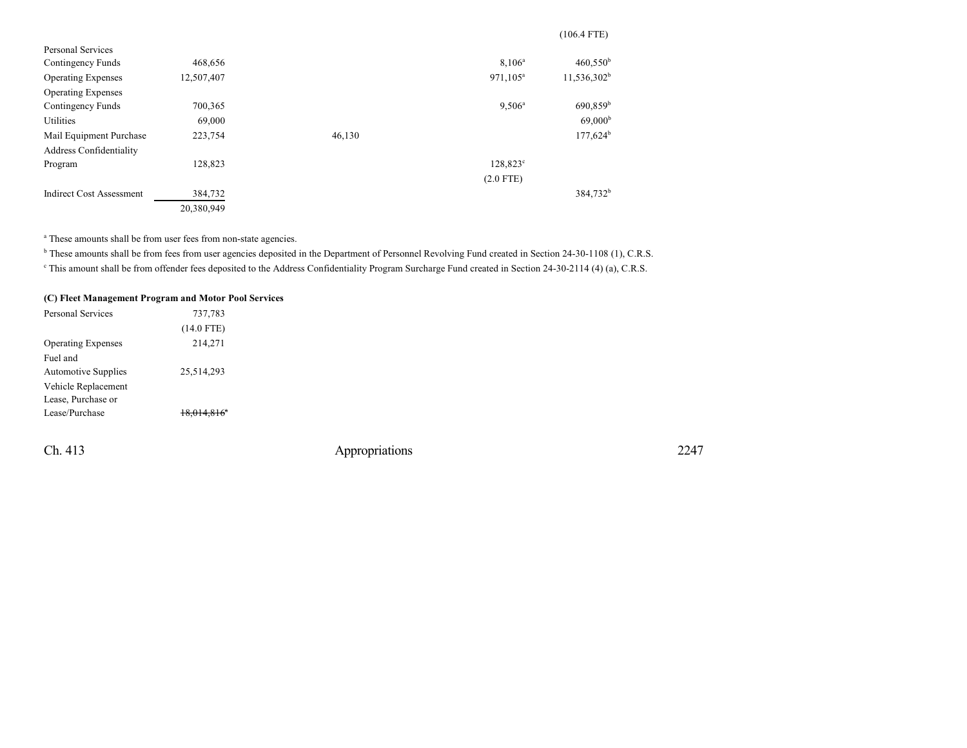|                                 |            |        |                      | $(106.4$ FTE)        |
|---------------------------------|------------|--------|----------------------|----------------------|
| Personal Services               |            |        |                      |                      |
| Contingency Funds               | 468,656    |        | $8,106^a$            | 460,550 <sup>b</sup> |
| <b>Operating Expenses</b>       | 12,507,407 |        | 971,105 <sup>a</sup> | $11,536,302^b$       |
| <b>Operating Expenses</b>       |            |        |                      |                      |
| Contingency Funds               | 700,365    |        | $9,506^a$            | 690,859 <sup>b</sup> |
| <b>Utilities</b>                | 69,000     |        |                      | 69,000 <sup>b</sup>  |
| Mail Equipment Purchase         | 223,754    | 46,130 |                      | $177,624^b$          |
| Address Confidentiality         |            |        |                      |                      |
| Program                         | 128,823    |        | 128,823 <sup>c</sup> |                      |
|                                 |            |        | $(2.0$ FTE)          |                      |
| <b>Indirect Cost Assessment</b> | 384,732    |        |                      | 384,732 <sup>b</sup> |
|                                 | 20,380,949 |        |                      |                      |

<sup>a</sup> These amounts shall be from user fees from non-state agencies.

<sup>b</sup> These amounts shall be from fees from user agencies deposited in the Department of Personnel Revolving Fund created in Section 24-30-1108 (1), C.R.S.

This amount shall be from offender fees deposited to the Address Confidentiality Program Surcharge Fund created in Section 24-30-2114 (4) (a), C.R.S.

## **(C) Fleet Management Program and Motor Pool Services**

| Personal Services          | 737,783      |  |
|----------------------------|--------------|--|
|                            | $(14.0$ FTE) |  |
| <b>Operating Expenses</b>  | 214,271      |  |
| Fuel and                   |              |  |
| <b>Automotive Supplies</b> | 25,514,293   |  |
| Vehicle Replacement        |              |  |
| Lease, Purchase or         |              |  |
| Lease/Purchase             |              |  |
|                            |              |  |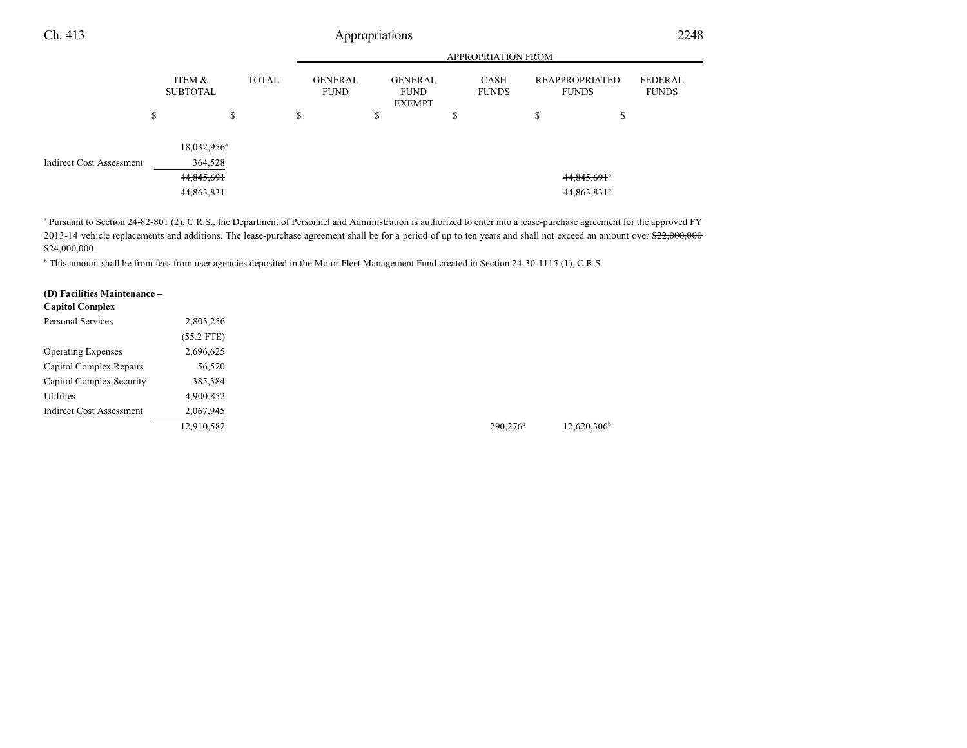|                                 |    |                                                       |    |  | <b>APPROPRIATION FROM</b> |              |                               |  |         |                                                |    |                                             |                                |  |                         |
|---------------------------------|----|-------------------------------------------------------|----|--|---------------------------|--------------|-------------------------------|--|---------|------------------------------------------------|----|---------------------------------------------|--------------------------------|--|-------------------------|
|                                 |    | ITEM &<br><b>SUBTOTAL</b>                             |    |  |                           | <b>TOTAL</b> | <b>GENERAL</b><br><b>FUND</b> |  |         | <b>GENERAL</b><br><b>FUND</b><br><b>EXEMPT</b> |    | CASH<br><b>FUNDS</b>                        | REAPPROPRIATED<br><b>FUNDS</b> |  | FEDERAL<br><b>FUNDS</b> |
|                                 | \$ |                                                       | \$ |  | \$                        |              | ъ                             |  | ch<br>Φ |                                                | \$ | ¢<br>Ф                                      |                                |  |                         |
| <b>Indirect Cost Assessment</b> |    | $18,032,956^a$<br>364,528<br>44,845,691<br>44,863,831 |    |  |                           |              |                               |  |         |                                                |    | $44,845,691$ <sup>b</sup><br>$44,863,831^b$ |                                |  |                         |

<sup>a</sup> Pursuant to Section 24-82-801 (2), C.R.S., the Department of Personnel and Administration is authorized to enter into a lease-purchase agreement for the approved FY 2013-14 vehicle replacements and additions. The lease-purchase agreement shall be for a period of up to ten years and shall not exceed an amount over \$22,000,000 \$24,000,000.

<sup>b</sup> This amount shall be from fees from user agencies deposited in the Motor Fleet Management Fund created in Section 24-30-1115 (1), C.R.S.

### **(D) Facilities Maintenance –**

| Capitol Complex                 |              |
|---------------------------------|--------------|
| Personal Services               | 2,803,256    |
|                                 | $(55.2$ FTE) |
| <b>Operating Expenses</b>       | 2,696,625    |
| Capitol Complex Repairs         | 56,520       |
| Capitol Complex Security        | 385,384      |
| Utilities                       | 4,900,852    |
| <b>Indirect Cost Assessment</b> | 2,067,945    |
|                                 | 12,910,582   |
|                                 |              |

12,620,306 b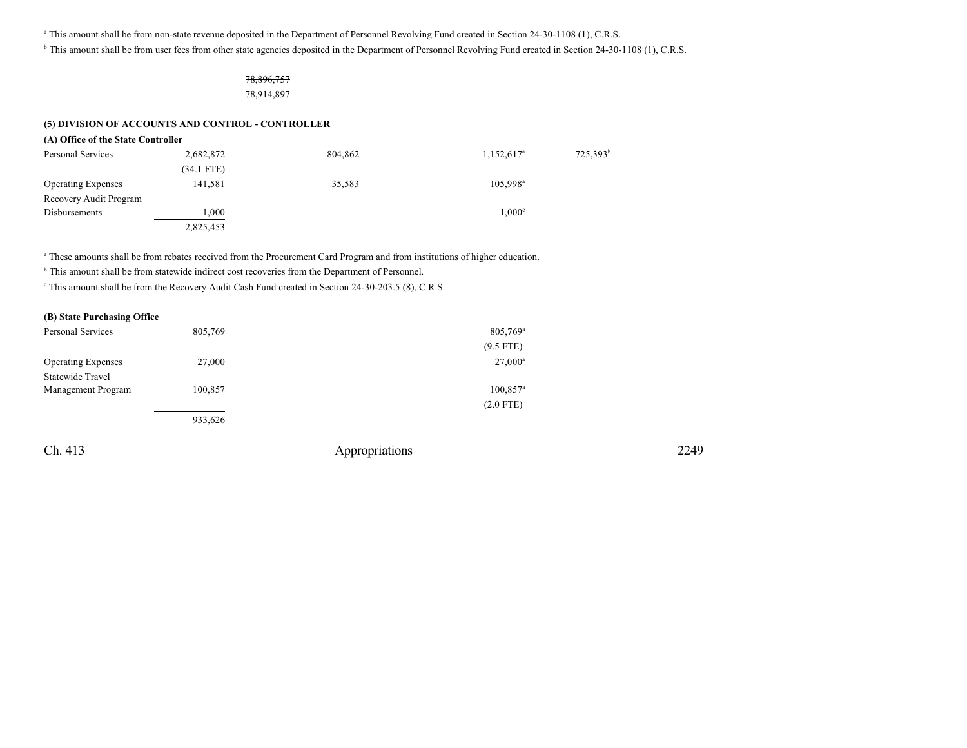a This amount shall be from non-state revenue deposited in the Department of Personnel Revolving Fund created in Section 24-30-1108 (1), C.R.S.

<sup>b</sup> This amount shall be from user fees from other state agencies deposited in the Department of Personnel Revolving Fund created in Section 24-30-1108 (1), C.R.S.

### 78,896,757

78,914,897

### **(5) DIVISION OF ACCOUNTS AND CONTROL - CONTROLLER**

| 2,682,872    | 804,862                            | $1,152,617^{\rm a}$  | 725,393 <sup>b</sup> |
|--------------|------------------------------------|----------------------|----------------------|
| $(34.1$ FTE) |                                    |                      |                      |
| 141,581      | 35,583                             | 105,998 <sup>a</sup> |                      |
|              |                                    |                      |                      |
| 1,000        |                                    | $1,000^{\circ}$      |                      |
| 2,825,453    |                                    |                      |                      |
|              | (A) Office of the State Controller |                      |                      |

<sup>a</sup> These amounts shall be from rebates received from the Procurement Card Program and from institutions of higher education.

<sup>b</sup> This amount shall be from statewide indirect cost recoveries from the Department of Personnel.

This amount shall be from the Recovery Audit Cash Fund created in Section 24-30-203.5 (8), C.R.S.

| (B) State Purchasing Office |  |
|-----------------------------|--|
|-----------------------------|--|

| Personal Services         | 805,769 | $805,769$ <sup>a</sup> |
|---------------------------|---------|------------------------|
|                           |         | $(9.5$ FTE)            |
| <b>Operating Expenses</b> | 27,000  | $27,000^{\rm a}$       |
| Statewide Travel          |         |                        |
| Management Program        | 100,857 | $100,857$ <sup>a</sup> |
|                           |         | $(2.0$ FTE)            |
|                           | 933.626 |                        |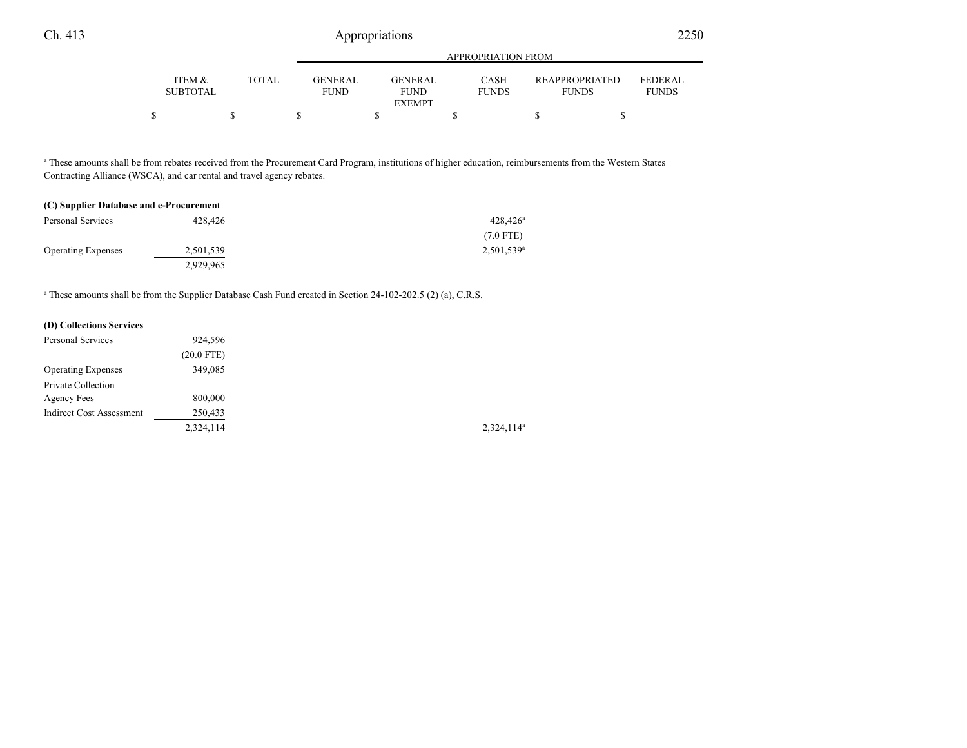|                                      |       | APPROPRIATION FROM            |                               |                      |                                       |                                |  |
|--------------------------------------|-------|-------------------------------|-------------------------------|----------------------|---------------------------------------|--------------------------------|--|
| <b>ITEM &amp;</b><br><b>SUBTOTAL</b> | TOTAL | <b>GENERAL</b><br><b>FUND</b> | <b>GENERAL</b><br><b>FUND</b> | CASH<br><b>FUNDS</b> | <b>REAPPROPRIATED</b><br><b>FUNDS</b> | <b>FEDERAL</b><br><b>FUNDS</b> |  |
|                                      |       |                               | <b>EXEMPT</b>                 |                      |                                       |                                |  |
|                                      |       |                               |                               |                      |                                       |                                |  |

a These amounts shall be from rebates received from the Procurement Card Program, institutions of higher education, reimbursements from the Western States Contracting Alliance (WSCA), and car rental and travel agency rebates.

| (C) Supplier Database and e-Procurement |           |                          |  |
|-----------------------------------------|-----------|--------------------------|--|
| Personal Services                       | 428.426   | $428,426^{\circ}$        |  |
|                                         |           | $(7.0$ FTE)              |  |
| <b>Operating Expenses</b>               | 2,501,539 | $2,501,539$ <sup>a</sup> |  |
|                                         | 2.929.965 |                          |  |

a These amounts shall be from the Supplier Database Cash Fund created in Section 24-102-202.5 (2) (a), C.R.S.

| (D) Collections Services        |              |
|---------------------------------|--------------|
| <b>Personal Services</b>        | 924,596      |
|                                 | $(20.0$ FTE) |
| <b>Operating Expenses</b>       | 349,085      |
| Private Collection              |              |
| Agency Fees                     | 800,000      |
| <b>Indirect Cost Assessment</b> | 250,433      |
|                                 | 2,324,114    |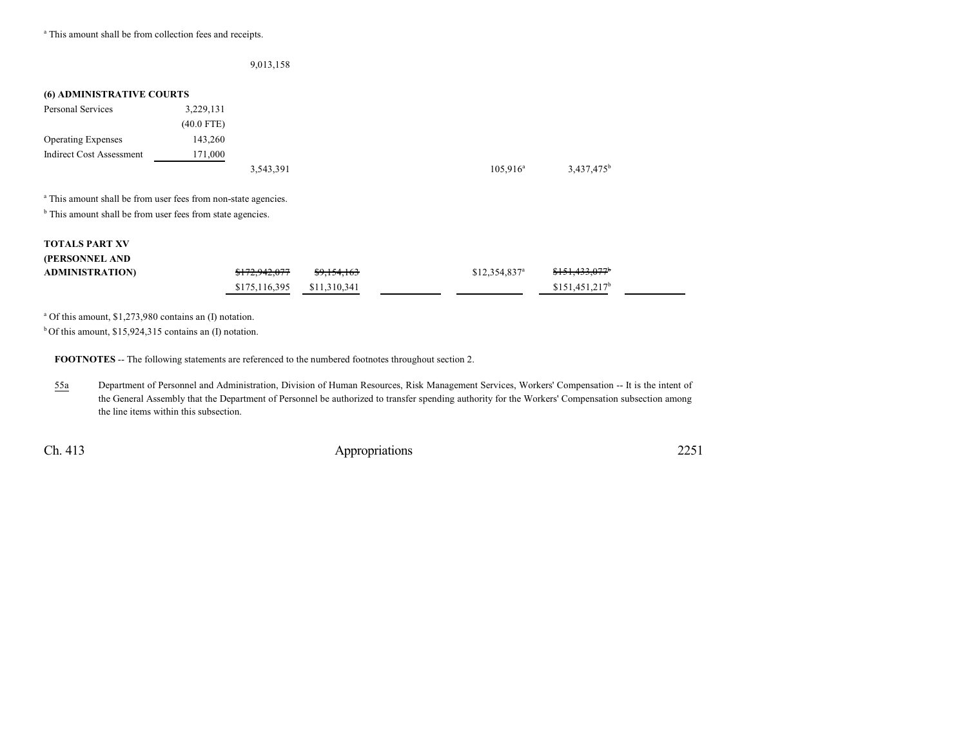<sup>a</sup> This amount shall be from collection fees and receipts.

|                                                                           |              | 9,013,158 |             |                        |
|---------------------------------------------------------------------------|--------------|-----------|-------------|------------------------|
| <b>(6) ADMINISTRATIVE COURTS</b>                                          |              |           |             |                        |
| Personal Services                                                         | 3,229,131    |           |             |                        |
|                                                                           | $(40.0$ FTE) |           |             |                        |
| <b>Operating Expenses</b>                                                 | 143,260      |           |             |                        |
| <b>Indirect Cost Assessment</b>                                           | 171,000      |           |             |                        |
|                                                                           |              | 3,543,391 | $105,916^a$ | 3,437,475 <sup>b</sup> |
| <sup>a</sup> This amount shall be from user fees from non-state agencies. |              |           |             |                        |
| <sup>b</sup> This amount shall be from user fees from state agencies.     |              |           |             |                        |
|                                                                           |              |           |             |                        |

#### **TOTALS PART XV (PERSONNEL AND**

| (PERSONNEL AND         |                          |                        |                            |                          |  |
|------------------------|--------------------------|------------------------|----------------------------|--------------------------|--|
| <b>ADMINISTRATION)</b> | <del>\$172,942,077</del> | <del>\$9,154,163</del> | $$12,354,837$ <sup>a</sup> | <del>\$151,433,077</del> |  |
|                        | \$175,116,395            | \$11.310.341           |                            | $$151.451.217^b$         |  |

a Of this amount, \$1,273,980 contains an (I) notation.

 $b$ Of this amount, \$15,924,315 contains an (I) notation.

**FOOTNOTES** -- The following statements are referenced to the numbered footnotes throughout section 2.

55a Department of Personnel and Administration, Division of Human Resources, Risk Management Services, Workers' Compensation -- It is the intent of the General Assembly that the Department of Personnel be authorized to transfer spending authority for the Workers' Compensation subsection among the line items within this subsection.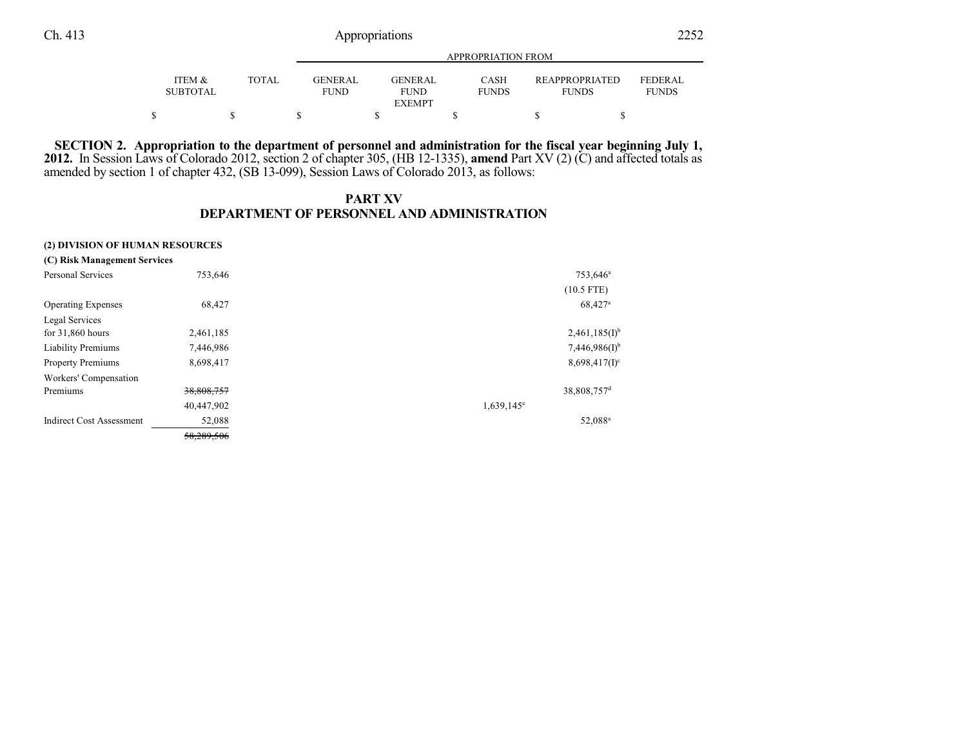|                           |              | APPROPRIATION FROM                                                       |                             |                                       |                                |  |  |
|---------------------------|--------------|--------------------------------------------------------------------------|-----------------------------|---------------------------------------|--------------------------------|--|--|
| ITEM &<br><b>SUBTOTAL</b> | <b>TOTAL</b> | GENERAL<br><b>GENERAL</b><br><b>FUND</b><br><b>FUND</b><br><b>EXEMPT</b> | <b>CASH</b><br><b>FUNDS</b> | <b>REAPPROPRIATED</b><br><b>FUNDS</b> | <b>FEDERAL</b><br><b>FUNDS</b> |  |  |
|                           |              |                                                                          |                             |                                       |                                |  |  |

SECTION 2. Appropriation to the department of personnel and administration for the fiscal year beginning July 1, **2012.** In Session Laws of Colorado 2012, section 2 of chapter 305, (HB 12-1335), **amend** Part XV (2) (C) and affected totals as amended by section 1 of chapter 432, (SB 13-099), Session Laws of Colorado 2013, as follows:

## **PART XV DEPARTMENT OF PERSONNEL AND ADMINISTRATION**

#### **(2) DIVISION OF HUMAN RESOURCES**

| (C) Risk Management Services    |            |                     |                         |
|---------------------------------|------------|---------------------|-------------------------|
| <b>Personal Services</b>        | 753,646    |                     | 753,646 <sup>a</sup>    |
|                                 |            |                     | $(10.5$ FTE)            |
| <b>Operating Expenses</b>       | 68,427     |                     | 68,427 <sup>a</sup>     |
| Legal Services                  |            |                     |                         |
| for $31,860$ hours              | 2,461,185  |                     | $2,461,185(I)^{b}$      |
| <b>Liability Premiums</b>       | 7,446,986  |                     | $7,446,986(I)^{b}$      |
| <b>Property Premiums</b>        | 8,698,417  |                     | $8,698,417(1)^c$        |
| Workers' Compensation           |            |                     |                         |
| Premiums                        | 38,808,757 |                     | 38,808,757 <sup>d</sup> |
|                                 | 40,447,902 | $1,639,145^{\circ}$ |                         |
| <b>Indirect Cost Assessment</b> | 52,088     |                     | 52,088 <sup>a</sup>     |
|                                 | 58,289,506 |                     |                         |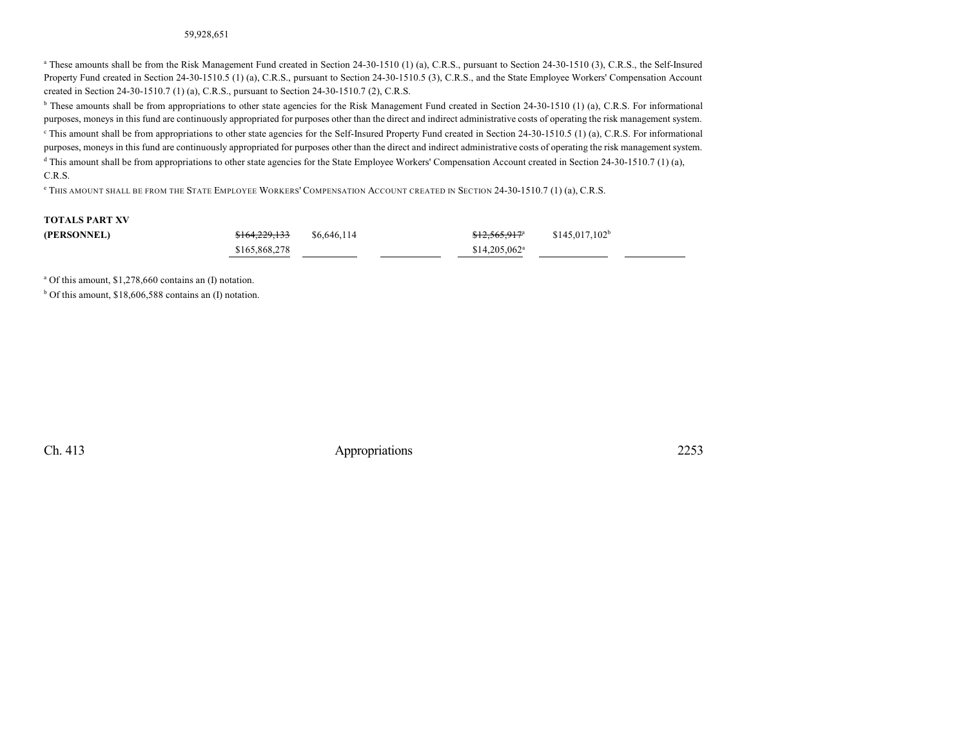#### 59,928,651

<sup>a</sup> These amounts shall be from the Risk Management Fund created in Section 24-30-1510 (1) (a), C.R.S., pursuant to Section 24-30-1510 (3), C.R.S., the Self-Insured Property Fund created in Section 24-30-1510.5 (1) (a), C.R.S., pursuant to Section 24-30-1510.5 (3), C.R.S., and the State Employee Workers' Compensation Account created in Section 24-30-1510.7 (1) (a), C.R.S., pursuant to Section 24-30-1510.7 (2), C.R.S.

<sup>b</sup> These amounts shall be from appropriations to other state agencies for the Risk Management Fund created in Section 24-30-1510 (1) (a), C.R.S. For informational purposes, moneys in this fund are continuously appropriated for purposes other than the direct and indirect administrative costs of operating the risk management system.  $\degree$  This amount shall be from appropriations to other state agencies for the Self-Insured Property Fund created in Section 24-30-1510.5 (1) (a), C.R.S. For informational purposes, moneys in this fund are continuously appropriated for purposes other than the direct and indirect administrative costs of operating the risk management system.

d This amount shall be from appropriations to other state agencies for the State Employee Workers' Compensation Account created in Section 24-30-1510.7 (1) (a), C.R.S.

e THIS AMOUNT SHALL BE FROM THE STATE EMPLOYEE WORKERS' COMPENSATION ACCOUNT CREATED IN SECTION 24-30-1510.7 (1) (a), C.R.S.

## **TOTALS PART XV**

| (PERSONNEL) | <del>\$164,229,133</del> | \$6,646,114 | $$12,565,917^a$           | $$145.017.102^b$ |
|-------------|--------------------------|-------------|---------------------------|------------------|
|             | \$165,868,278            |             | \$14.205.062 <sup>a</sup> |                  |

a Of this amount, \$1,278,660 contains an (I) notation.

b Of this amount, \$18,606,588 contains an (I) notation.